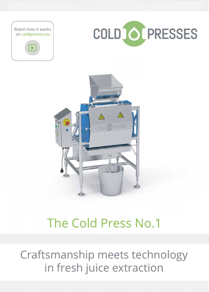





# The Cold Press No.1

Craftsmanship meets technology in fresh juice extraction